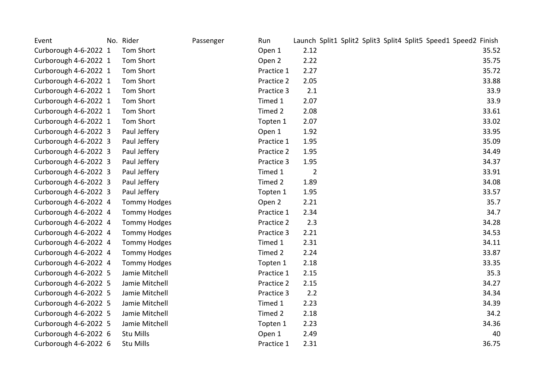| Event                 | No. Rider           | Passenger | Run        |                |  |  | Launch Split1 Split2 Split3 Split4 Split5 Speed1 Speed2 Finish |  |       |
|-----------------------|---------------------|-----------|------------|----------------|--|--|----------------------------------------------------------------|--|-------|
| Curborough 4-6-2022 1 | Tom Short           |           | Open 1     | 2.12           |  |  |                                                                |  | 35.52 |
| Curborough 4-6-2022 1 | Tom Short           |           | Open 2     | 2.22           |  |  |                                                                |  | 35.75 |
| Curborough 4-6-2022 1 | Tom Short           |           | Practice 1 | 2.27           |  |  |                                                                |  | 35.72 |
| Curborough 4-6-2022 1 | Tom Short           |           | Practice 2 | 2.05           |  |  |                                                                |  | 33.88 |
| Curborough 4-6-2022 1 | <b>Tom Short</b>    |           | Practice 3 | 2.1            |  |  |                                                                |  | 33.9  |
| Curborough 4-6-2022 1 | Tom Short           |           | Timed 1    | 2.07           |  |  |                                                                |  | 33.9  |
| Curborough 4-6-2022 1 | Tom Short           |           | Timed 2    | 2.08           |  |  |                                                                |  | 33.61 |
| Curborough 4-6-2022 1 | Tom Short           |           | Topten 1   | 2.07           |  |  |                                                                |  | 33.02 |
| Curborough 4-6-2022 3 | Paul Jeffery        |           | Open 1     | 1.92           |  |  |                                                                |  | 33.95 |
| Curborough 4-6-2022 3 | Paul Jeffery        |           | Practice 1 | 1.95           |  |  |                                                                |  | 35.09 |
| Curborough 4-6-2022 3 | Paul Jeffery        |           | Practice 2 | 1.95           |  |  |                                                                |  | 34.49 |
| Curborough 4-6-2022 3 | Paul Jeffery        |           | Practice 3 | 1.95           |  |  |                                                                |  | 34.37 |
| Curborough 4-6-2022 3 | Paul Jeffery        |           | Timed 1    | $\overline{2}$ |  |  |                                                                |  | 33.91 |
| Curborough 4-6-2022 3 | Paul Jeffery        |           | Timed 2    | 1.89           |  |  |                                                                |  | 34.08 |
| Curborough 4-6-2022 3 | Paul Jeffery        |           | Topten 1   | 1.95           |  |  |                                                                |  | 33.57 |
| Curborough 4-6-2022 4 | <b>Tommy Hodges</b> |           | Open 2     | 2.21           |  |  |                                                                |  | 35.7  |
| Curborough 4-6-2022 4 | <b>Tommy Hodges</b> |           | Practice 1 | 2.34           |  |  |                                                                |  | 34.7  |
| Curborough 4-6-2022 4 | <b>Tommy Hodges</b> |           | Practice 2 | 2.3            |  |  |                                                                |  | 34.28 |
| Curborough 4-6-2022 4 | <b>Tommy Hodges</b> |           | Practice 3 | 2.21           |  |  |                                                                |  | 34.53 |
| Curborough 4-6-2022 4 | <b>Tommy Hodges</b> |           | Timed 1    | 2.31           |  |  |                                                                |  | 34.11 |
| Curborough 4-6-2022 4 | <b>Tommy Hodges</b> |           | Timed 2    | 2.24           |  |  |                                                                |  | 33.87 |
| Curborough 4-6-2022 4 | <b>Tommy Hodges</b> |           | Topten 1   | 2.18           |  |  |                                                                |  | 33.35 |
| Curborough 4-6-2022 5 | Jamie Mitchell      |           | Practice 1 | 2.15           |  |  |                                                                |  | 35.3  |
| Curborough 4-6-2022 5 | Jamie Mitchell      |           | Practice 2 | 2.15           |  |  |                                                                |  | 34.27 |
| Curborough 4-6-2022 5 | Jamie Mitchell      |           | Practice 3 | 2.2            |  |  |                                                                |  | 34.34 |
| Curborough 4-6-2022 5 | Jamie Mitchell      |           | Timed 1    | 2.23           |  |  |                                                                |  | 34.39 |
| Curborough 4-6-2022 5 | Jamie Mitchell      |           | Timed 2    | 2.18           |  |  |                                                                |  | 34.2  |
| Curborough 4-6-2022 5 | Jamie Mitchell      |           | Topten 1   | 2.23           |  |  |                                                                |  | 34.36 |
| Curborough 4-6-2022 6 | Stu Mills           |           | Open 1     | 2.49           |  |  |                                                                |  | 40    |
| Curborough 4-6-2022 6 | Stu Mills           |           | Practice 1 | 2.31           |  |  |                                                                |  | 36.75 |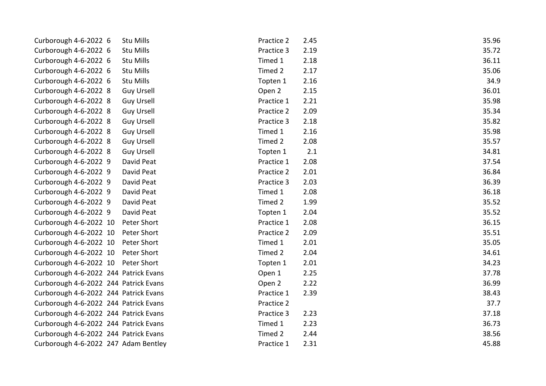| Curborough 4-6-2022 6                 | <b>Stu Mills</b>  | Practice 2 | 2.45 | 35.96 |
|---------------------------------------|-------------------|------------|------|-------|
| Curborough 4-6-2022 6                 | Stu Mills         | Practice 3 | 2.19 | 35.72 |
| Curborough 4-6-2022 6                 | Stu Mills         | Timed 1    | 2.18 | 36.11 |
| Curborough 4-6-2022 6                 | Stu Mills         | Timed 2    | 2.17 | 35.06 |
| Curborough 4-6-2022 6                 | Stu Mills         | Topten 1   | 2.16 | 34.9  |
| Curborough 4-6-2022 8                 | <b>Guy Ursell</b> | Open 2     | 2.15 | 36.01 |
| Curborough 4-6-2022 8                 | Guy Ursell        | Practice 1 | 2.21 | 35.98 |
| Curborough 4-6-2022 8                 | <b>Guy Ursell</b> | Practice 2 | 2.09 | 35.34 |
| Curborough 4-6-2022 8                 | <b>Guy Ursell</b> | Practice 3 | 2.18 | 35.82 |
| Curborough 4-6-2022 8                 | <b>Guy Ursell</b> | Timed 1    | 2.16 | 35.98 |
| Curborough 4-6-2022 8                 | <b>Guy Ursell</b> | Timed 2    | 2.08 | 35.57 |
| Curborough 4-6-2022 8                 | <b>Guy Ursell</b> | Topten 1   | 2.1  | 34.81 |
| Curborough 4-6-2022 9                 | David Peat        | Practice 1 | 2.08 | 37.54 |
| Curborough 4-6-2022 9                 | David Peat        | Practice 2 | 2.01 | 36.84 |
| Curborough 4-6-2022 9                 | David Peat        | Practice 3 | 2.03 | 36.39 |
| Curborough 4-6-2022 9                 | David Peat        | Timed 1    | 2.08 | 36.18 |
| Curborough 4-6-2022 9                 | David Peat        | Timed 2    | 1.99 | 35.52 |
| Curborough 4-6-2022 9                 | David Peat        | Topten 1   | 2.04 | 35.52 |
| Curborough 4-6-2022 10                | Peter Short       | Practice 1 | 2.08 | 36.15 |
| Curborough 4-6-2022 10                | Peter Short       | Practice 2 | 2.09 | 35.51 |
| Curborough 4-6-2022 10                | Peter Short       | Timed 1    | 2.01 | 35.05 |
| Curborough 4-6-2022 10                | Peter Short       | Timed 2    | 2.04 | 34.61 |
| Curborough 4-6-2022 10 Peter Short    |                   | Topten 1   | 2.01 | 34.23 |
| Curborough 4-6-2022 244 Patrick Evans |                   | Open 1     | 2.25 | 37.78 |
| Curborough 4-6-2022 244 Patrick Evans |                   | Open 2     | 2.22 | 36.99 |
| Curborough 4-6-2022 244 Patrick Evans |                   | Practice 1 | 2.39 | 38.43 |
| Curborough 4-6-2022 244 Patrick Evans |                   | Practice 2 |      | 37.7  |
| Curborough 4-6-2022 244 Patrick Evans |                   | Practice 3 | 2.23 | 37.18 |
| Curborough 4-6-2022 244 Patrick Evans |                   | Timed 1    | 2.23 | 36.73 |
| Curborough 4-6-2022 244 Patrick Evans |                   | Timed 2    | 2.44 | 38.56 |
| Curborough 4-6-2022 247 Adam Bentley  |                   | Practice 1 | 2.31 | 45.88 |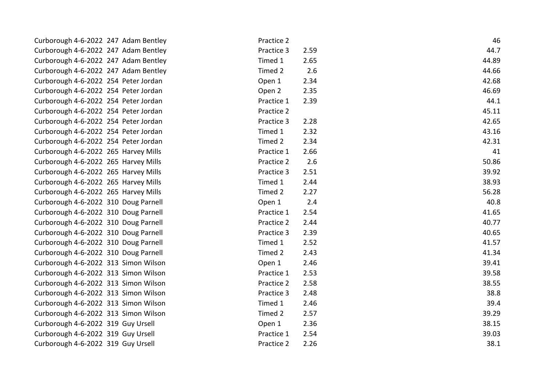| Curborough 4-6-2022 247 Adam Bentley | Practice 2 |      | 46    |
|--------------------------------------|------------|------|-------|
| Curborough 4-6-2022 247 Adam Bentley | Practice 3 | 2.59 | 44.7  |
| Curborough 4-6-2022 247 Adam Bentley | Timed 1    | 2.65 | 44.89 |
| Curborough 4-6-2022 247 Adam Bentley | Timed 2    | 2.6  | 44.66 |
| Curborough 4-6-2022 254 Peter Jordan | Open 1     | 2.34 | 42.68 |
| Curborough 4-6-2022 254 Peter Jordan | Open 2     | 2.35 | 46.69 |
| Curborough 4-6-2022 254 Peter Jordan | Practice 1 | 2.39 | 44.1  |
| Curborough 4-6-2022 254 Peter Jordan | Practice 2 |      | 45.11 |
| Curborough 4-6-2022 254 Peter Jordan | Practice 3 | 2.28 | 42.65 |
| Curborough 4-6-2022 254 Peter Jordan | Timed 1    | 2.32 | 43.16 |
| Curborough 4-6-2022 254 Peter Jordan | Timed 2    | 2.34 | 42.31 |
| Curborough 4-6-2022 265 Harvey Mills | Practice 1 | 2.66 | 41    |
| Curborough 4-6-2022 265 Harvey Mills | Practice 2 | 2.6  | 50.86 |
| Curborough 4-6-2022 265 Harvey Mills | Practice 3 | 2.51 | 39.92 |
| Curborough 4-6-2022 265 Harvey Mills | Timed 1    | 2.44 | 38.93 |
| Curborough 4-6-2022 265 Harvey Mills | Timed 2    | 2.27 | 56.28 |
| Curborough 4-6-2022 310 Doug Parnell | Open 1     | 2.4  | 40.8  |
| Curborough 4-6-2022 310 Doug Parnell | Practice 1 | 2.54 | 41.65 |
| Curborough 4-6-2022 310 Doug Parnell | Practice 2 | 2.44 | 40.77 |
| Curborough 4-6-2022 310 Doug Parnell | Practice 3 | 2.39 | 40.65 |
| Curborough 4-6-2022 310 Doug Parnell | Timed 1    | 2.52 | 41.57 |
| Curborough 4-6-2022 310 Doug Parnell | Timed 2    | 2.43 | 41.34 |
| Curborough 4-6-2022 313 Simon Wilson | Open 1     | 2.46 | 39.41 |
| Curborough 4-6-2022 313 Simon Wilson | Practice 1 | 2.53 | 39.58 |
| Curborough 4-6-2022 313 Simon Wilson | Practice 2 | 2.58 | 38.55 |
| Curborough 4-6-2022 313 Simon Wilson | Practice 3 | 2.48 | 38.8  |
| Curborough 4-6-2022 313 Simon Wilson | Timed 1    | 2.46 | 39.4  |
| Curborough 4-6-2022 313 Simon Wilson | Timed 2    | 2.57 | 39.29 |
| Curborough 4-6-2022 319 Guy Ursell   | Open 1     | 2.36 | 38.15 |
| Curborough 4-6-2022 319 Guy Ursell   | Practice 1 | 2.54 | 39.03 |
| Curborough 4-6-2022 319 Guy Ursell   | Practice 2 | 2.26 | 38.1  |
|                                      |            |      |       |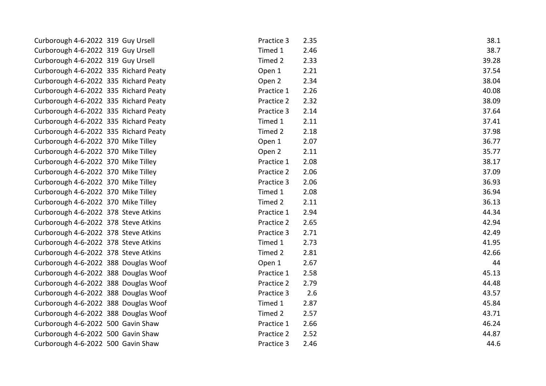| Curborough 4-6-2022 319 Guy Ursell    | Practice 3 | 2.35 | 38.1  |
|---------------------------------------|------------|------|-------|
| Curborough 4-6-2022 319 Guy Ursell    | Timed 1    | 2.46 | 38.7  |
| Curborough 4-6-2022 319 Guy Ursell    | Timed 2    | 2.33 | 39.28 |
| Curborough 4-6-2022 335 Richard Peaty | Open 1     | 2.21 | 37.54 |
| Curborough 4-6-2022 335 Richard Peaty | Open 2     | 2.34 | 38.04 |
| Curborough 4-6-2022 335 Richard Peaty | Practice 1 | 2.26 | 40.08 |
| Curborough 4-6-2022 335 Richard Peaty | Practice 2 | 2.32 | 38.09 |
| Curborough 4-6-2022 335 Richard Peaty | Practice 3 | 2.14 | 37.64 |
| Curborough 4-6-2022 335 Richard Peaty | Timed 1    | 2.11 | 37.41 |
| Curborough 4-6-2022 335 Richard Peaty | Timed 2    | 2.18 | 37.98 |
| Curborough 4-6-2022 370 Mike Tilley   | Open 1     | 2.07 | 36.77 |
| Curborough 4-6-2022 370 Mike Tilley   | Open 2     | 2.11 | 35.77 |
| Curborough 4-6-2022 370 Mike Tilley   | Practice 1 | 2.08 | 38.17 |
| Curborough 4-6-2022 370 Mike Tilley   | Practice 2 | 2.06 | 37.09 |
| Curborough 4-6-2022 370 Mike Tilley   | Practice 3 | 2.06 | 36.93 |
| Curborough 4-6-2022 370 Mike Tilley   | Timed 1    | 2.08 | 36.94 |
| Curborough 4-6-2022 370 Mike Tilley   | Timed 2    | 2.11 | 36.13 |
| Curborough 4-6-2022 378 Steve Atkins  | Practice 1 | 2.94 | 44.34 |
| Curborough 4-6-2022 378 Steve Atkins  | Practice 2 | 2.65 | 42.94 |
| Curborough 4-6-2022 378 Steve Atkins  | Practice 3 | 2.71 | 42.49 |
| Curborough 4-6-2022 378 Steve Atkins  | Timed 1    | 2.73 | 41.95 |
| Curborough 4-6-2022 378 Steve Atkins  | Timed 2    | 2.81 | 42.66 |
| Curborough 4-6-2022 388 Douglas Woof  | Open 1     | 2.67 | 44    |
| Curborough 4-6-2022 388 Douglas Woof  | Practice 1 | 2.58 | 45.13 |
| Curborough 4-6-2022 388 Douglas Woof  | Practice 2 | 2.79 | 44.48 |
| Curborough 4-6-2022 388 Douglas Woof  | Practice 3 | 2.6  | 43.57 |
| Curborough 4-6-2022 388 Douglas Woof  | Timed 1    | 2.87 | 45.84 |
| Curborough 4-6-2022 388 Douglas Woof  | Timed 2    | 2.57 | 43.71 |
| Curborough 4-6-2022 500 Gavin Shaw    | Practice 1 | 2.66 | 46.24 |
| Curborough 4-6-2022 500 Gavin Shaw    | Practice 2 | 2.52 | 44.87 |
| Curborough 4-6-2022 500 Gavin Shaw    | Practice 3 | 2.46 | 44.6  |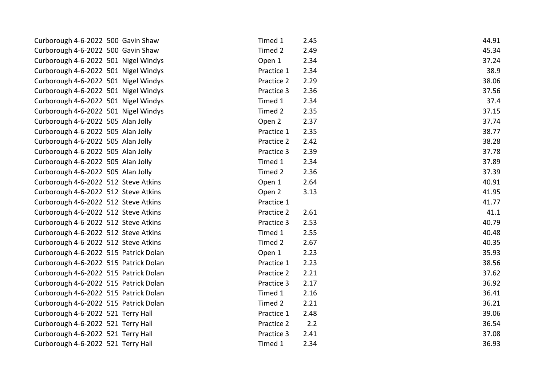| Curborough 4-6-2022 500 Gavin Shaw    | Timed 1    | 2.45 | 44.91 |
|---------------------------------------|------------|------|-------|
| Curborough 4-6-2022 500 Gavin Shaw    | Timed 2    | 2.49 | 45.34 |
| Curborough 4-6-2022 501 Nigel Windys  | Open 1     | 2.34 | 37.24 |
| Curborough 4-6-2022 501 Nigel Windys  | Practice 1 | 2.34 | 38.9  |
| Curborough 4-6-2022 501 Nigel Windys  | Practice 2 | 2.29 | 38.06 |
| Curborough 4-6-2022 501 Nigel Windys  | Practice 3 | 2.36 | 37.56 |
| Curborough 4-6-2022 501 Nigel Windys  | Timed 1    | 2.34 | 37.4  |
| Curborough 4-6-2022 501 Nigel Windys  | Timed 2    | 2.35 | 37.15 |
| Curborough 4-6-2022 505 Alan Jolly    | Open 2     | 2.37 | 37.74 |
| Curborough 4-6-2022 505 Alan Jolly    | Practice 1 | 2.35 | 38.77 |
| Curborough 4-6-2022 505 Alan Jolly    | Practice 2 | 2.42 | 38.28 |
| Curborough 4-6-2022 505 Alan Jolly    | Practice 3 | 2.39 | 37.78 |
| Curborough 4-6-2022 505 Alan Jolly    | Timed 1    | 2.34 | 37.89 |
| Curborough 4-6-2022 505 Alan Jolly    | Timed 2    | 2.36 | 37.39 |
| Curborough 4-6-2022 512 Steve Atkins  | Open 1     | 2.64 | 40.91 |
| Curborough 4-6-2022 512 Steve Atkins  | Open 2     | 3.13 | 41.95 |
| Curborough 4-6-2022 512 Steve Atkins  | Practice 1 |      | 41.77 |
| Curborough 4-6-2022 512 Steve Atkins  | Practice 2 | 2.61 | 41.1  |
| Curborough 4-6-2022 512 Steve Atkins  | Practice 3 | 2.53 | 40.79 |
| Curborough 4-6-2022 512 Steve Atkins  | Timed 1    | 2.55 | 40.48 |
| Curborough 4-6-2022 512 Steve Atkins  | Timed 2    | 2.67 | 40.35 |
| Curborough 4-6-2022 515 Patrick Dolan | Open 1     | 2.23 | 35.93 |
| Curborough 4-6-2022 515 Patrick Dolan | Practice 1 | 2.23 | 38.56 |
| Curborough 4-6-2022 515 Patrick Dolan | Practice 2 | 2.21 | 37.62 |
| Curborough 4-6-2022 515 Patrick Dolan | Practice 3 | 2.17 | 36.92 |
| Curborough 4-6-2022 515 Patrick Dolan | Timed 1    | 2.16 | 36.41 |
| Curborough 4-6-2022 515 Patrick Dolan | Timed 2    | 2.21 | 36.21 |
| Curborough 4-6-2022 521 Terry Hall    | Practice 1 | 2.48 | 39.06 |
| Curborough 4-6-2022 521 Terry Hall    | Practice 2 | 2.2  | 36.54 |
| Curborough 4-6-2022 521 Terry Hall    | Practice 3 | 2.41 | 37.08 |
| Curborough 4-6-2022 521 Terry Hall    | Timed 1    | 2.34 | 36.93 |
|                                       |            |      |       |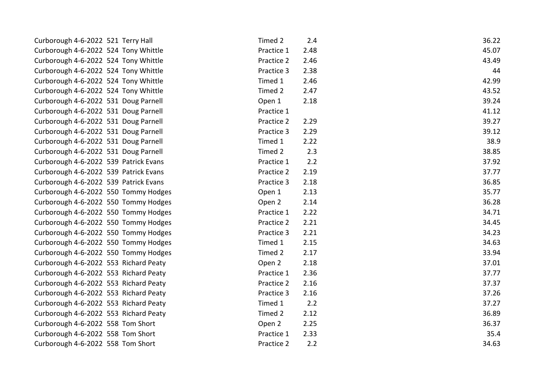| Curborough 4-6-2022 521 Terry Hall    | Timed 2    | 2.4  | 36.22 |
|---------------------------------------|------------|------|-------|
| Curborough 4-6-2022 524 Tony Whittle  | Practice 1 | 2.48 | 45.07 |
| Curborough 4-6-2022 524 Tony Whittle  | Practice 2 | 2.46 | 43.49 |
| Curborough 4-6-2022 524 Tony Whittle  | Practice 3 | 2.38 | 44    |
| Curborough 4-6-2022 524 Tony Whittle  | Timed 1    | 2.46 | 42.99 |
| Curborough 4-6-2022 524 Tony Whittle  | Timed 2    | 2.47 | 43.52 |
| Curborough 4-6-2022 531 Doug Parnell  | Open 1     | 2.18 | 39.24 |
| Curborough 4-6-2022 531 Doug Parnell  | Practice 1 |      | 41.12 |
| Curborough 4-6-2022 531 Doug Parnell  | Practice 2 | 2.29 | 39.27 |
| Curborough 4-6-2022 531 Doug Parnell  | Practice 3 | 2.29 | 39.12 |
| Curborough 4-6-2022 531 Doug Parnell  | Timed 1    | 2.22 | 38.9  |
| Curborough 4-6-2022 531 Doug Parnell  | Timed 2    | 2.3  | 38.85 |
| Curborough 4-6-2022 539 Patrick Evans | Practice 1 | 2.2  | 37.92 |
| Curborough 4-6-2022 539 Patrick Evans | Practice 2 | 2.19 | 37.77 |
| Curborough 4-6-2022 539 Patrick Evans | Practice 3 | 2.18 | 36.85 |
| Curborough 4-6-2022 550 Tommy Hodges  | Open 1     | 2.13 | 35.77 |
| Curborough 4-6-2022 550 Tommy Hodges  | Open 2     | 2.14 | 36.28 |
| Curborough 4-6-2022 550 Tommy Hodges  | Practice 1 | 2.22 | 34.71 |
| Curborough 4-6-2022 550 Tommy Hodges  | Practice 2 | 2.21 | 34.45 |
| Curborough 4-6-2022 550 Tommy Hodges  | Practice 3 | 2.21 | 34.23 |
| Curborough 4-6-2022 550 Tommy Hodges  | Timed 1    | 2.15 | 34.63 |
| Curborough 4-6-2022 550 Tommy Hodges  | Timed 2    | 2.17 | 33.94 |
| Curborough 4-6-2022 553 Richard Peaty | Open 2     | 2.18 | 37.01 |
| Curborough 4-6-2022 553 Richard Peaty | Practice 1 | 2.36 | 37.77 |
| Curborough 4-6-2022 553 Richard Peaty | Practice 2 | 2.16 | 37.37 |
| Curborough 4-6-2022 553 Richard Peaty | Practice 3 | 2.16 | 37.26 |
| Curborough 4-6-2022 553 Richard Peaty | Timed 1    | 2.2  | 37.27 |
| Curborough 4-6-2022 553 Richard Peaty | Timed 2    | 2.12 | 36.89 |
| Curborough 4-6-2022 558 Tom Short     | Open 2     | 2.25 | 36.37 |
| Curborough 4-6-2022 558 Tom Short     | Practice 1 | 2.33 | 35.4  |
| Curborough 4-6-2022 558 Tom Short     | Practice 2 | 2.2  | 34.63 |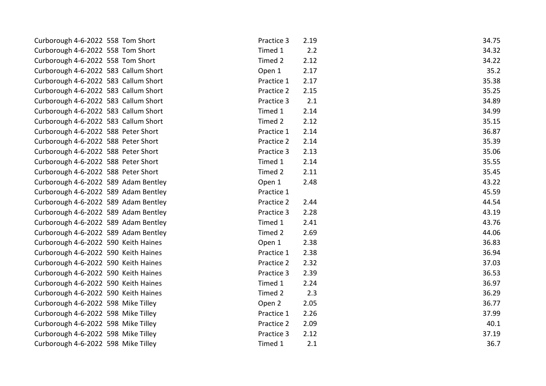| Curborough 4-6-2022 558 Tom Short    | Practice 3 | 2.19 | 34.75 |
|--------------------------------------|------------|------|-------|
| Curborough 4-6-2022 558 Tom Short    | Timed 1    | 2.2  | 34.32 |
| Curborough 4-6-2022 558 Tom Short    | Timed 2    | 2.12 | 34.22 |
| Curborough 4-6-2022 583 Callum Short | Open 1     | 2.17 | 35.2  |
| Curborough 4-6-2022 583 Callum Short | Practice 1 | 2.17 | 35.38 |
| Curborough 4-6-2022 583 Callum Short | Practice 2 | 2.15 | 35.25 |
| Curborough 4-6-2022 583 Callum Short | Practice 3 | 2.1  | 34.89 |
| Curborough 4-6-2022 583 Callum Short | Timed 1    | 2.14 | 34.99 |
| Curborough 4-6-2022 583 Callum Short | Timed 2    | 2.12 | 35.15 |
| Curborough 4-6-2022 588 Peter Short  | Practice 1 | 2.14 | 36.87 |
| Curborough 4-6-2022 588 Peter Short  | Practice 2 | 2.14 | 35.39 |
| Curborough 4-6-2022 588 Peter Short  | Practice 3 | 2.13 | 35.06 |
| Curborough 4-6-2022 588 Peter Short  | Timed 1    | 2.14 | 35.55 |
| Curborough 4-6-2022 588 Peter Short  | Timed 2    | 2.11 | 35.45 |
| Curborough 4-6-2022 589 Adam Bentley | Open 1     | 2.48 | 43.22 |
| Curborough 4-6-2022 589 Adam Bentley | Practice 1 |      | 45.59 |
| Curborough 4-6-2022 589 Adam Bentley | Practice 2 | 2.44 | 44.54 |
| Curborough 4-6-2022 589 Adam Bentley | Practice 3 | 2.28 | 43.19 |
| Curborough 4-6-2022 589 Adam Bentley | Timed 1    | 2.41 | 43.76 |
| Curborough 4-6-2022 589 Adam Bentley | Timed 2    | 2.69 | 44.06 |
| Curborough 4-6-2022 590 Keith Haines | Open 1     | 2.38 | 36.83 |
| Curborough 4-6-2022 590 Keith Haines | Practice 1 | 2.38 | 36.94 |
| Curborough 4-6-2022 590 Keith Haines | Practice 2 | 2.32 | 37.03 |
| Curborough 4-6-2022 590 Keith Haines | Practice 3 | 2.39 | 36.53 |
| Curborough 4-6-2022 590 Keith Haines | Timed 1    | 2.24 | 36.97 |
| Curborough 4-6-2022 590 Keith Haines | Timed 2    | 2.3  | 36.29 |
| Curborough 4-6-2022 598 Mike Tilley  | Open 2     | 2.05 | 36.77 |
| Curborough 4-6-2022 598 Mike Tilley  | Practice 1 | 2.26 | 37.99 |
| Curborough 4-6-2022 598 Mike Tilley  | Practice 2 | 2.09 | 40.1  |
| Curborough 4-6-2022 598 Mike Tilley  | Practice 3 | 2.12 | 37.19 |
| Curborough 4-6-2022 598 Mike Tilley  | Timed 1    | 2.1  | 36.7  |
|                                      |            |      |       |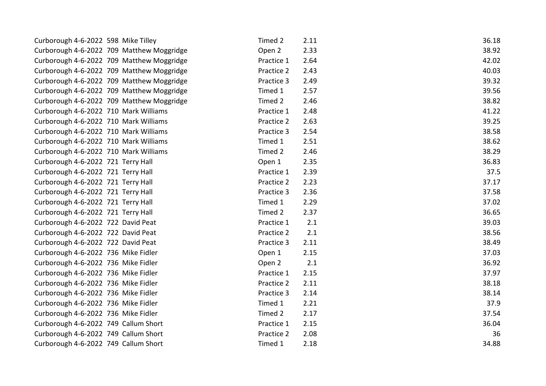| Curborough 4-6-2022 598 Mike Tilley   |                                           | Timed 2    | 2.11 | 36.18 |
|---------------------------------------|-------------------------------------------|------------|------|-------|
|                                       | Curborough 4-6-2022 709 Matthew Moggridge | Open 2     | 2.33 | 38.92 |
|                                       | Curborough 4-6-2022 709 Matthew Moggridge | Practice 1 | 2.64 | 42.02 |
|                                       | Curborough 4-6-2022 709 Matthew Moggridge | Practice 2 | 2.43 | 40.03 |
|                                       | Curborough 4-6-2022 709 Matthew Moggridge | Practice 3 | 2.49 | 39.32 |
|                                       | Curborough 4-6-2022 709 Matthew Moggridge | Timed 1    | 2.57 | 39.56 |
|                                       | Curborough 4-6-2022 709 Matthew Moggridge | Timed 2    | 2.46 | 38.82 |
| Curborough 4-6-2022 710 Mark Williams |                                           | Practice 1 | 2.48 | 41.22 |
| Curborough 4-6-2022 710 Mark Williams |                                           | Practice 2 | 2.63 | 39.25 |
| Curborough 4-6-2022 710 Mark Williams |                                           | Practice 3 | 2.54 | 38.58 |
| Curborough 4-6-2022 710 Mark Williams |                                           | Timed 1    | 2.51 | 38.62 |
| Curborough 4-6-2022 710 Mark Williams |                                           | Timed 2    | 2.46 | 38.29 |
| Curborough 4-6-2022 721 Terry Hall    |                                           | Open 1     | 2.35 | 36.83 |
| Curborough 4-6-2022 721 Terry Hall    |                                           | Practice 1 | 2.39 | 37.5  |
| Curborough 4-6-2022 721 Terry Hall    |                                           | Practice 2 | 2.23 | 37.17 |
| Curborough 4-6-2022 721 Terry Hall    |                                           | Practice 3 | 2.36 | 37.58 |
| Curborough 4-6-2022 721 Terry Hall    |                                           | Timed 1    | 2.29 | 37.02 |
| Curborough 4-6-2022 721 Terry Hall    |                                           | Timed 2    | 2.37 | 36.65 |
| Curborough 4-6-2022 722 David Peat    |                                           | Practice 1 | 2.1  | 39.03 |
| Curborough 4-6-2022 722 David Peat    |                                           | Practice 2 | 2.1  | 38.56 |
| Curborough 4-6-2022 722 David Peat    |                                           | Practice 3 | 2.11 | 38.49 |
| Curborough 4-6-2022 736 Mike Fidler   |                                           | Open 1     | 2.15 | 37.03 |
| Curborough 4-6-2022 736 Mike Fidler   |                                           | Open 2     | 2.1  | 36.92 |
| Curborough 4-6-2022 736 Mike Fidler   |                                           | Practice 1 | 2.15 | 37.97 |
| Curborough 4-6-2022 736 Mike Fidler   |                                           | Practice 2 | 2.11 | 38.18 |
| Curborough 4-6-2022 736 Mike Fidler   |                                           | Practice 3 | 2.14 | 38.14 |
| Curborough 4-6-2022 736 Mike Fidler   |                                           | Timed 1    | 2.21 | 37.9  |
| Curborough 4-6-2022 736 Mike Fidler   |                                           | Timed 2    | 2.17 | 37.54 |
| Curborough 4-6-2022 749 Callum Short  |                                           | Practice 1 | 2.15 | 36.04 |
| Curborough 4-6-2022 749 Callum Short  |                                           | Practice 2 | 2.08 | 36    |
| Curborough 4-6-2022 749 Callum Short  |                                           | Timed 1    | 2.18 | 34.88 |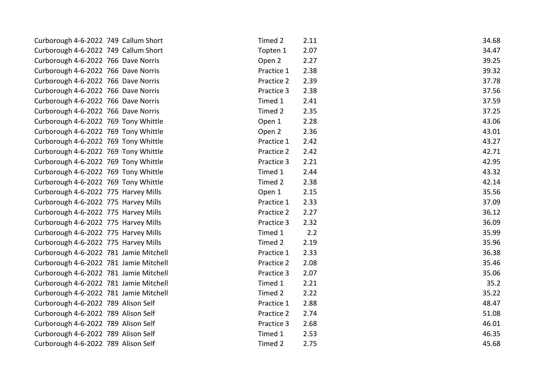| Curborough 4-6-2022 749 Callum Short   | Timed 2    | 2.11 | 34.68 |
|----------------------------------------|------------|------|-------|
| Curborough 4-6-2022 749 Callum Short   | Topten 1   | 2.07 | 34.47 |
| Curborough 4-6-2022 766 Dave Norris    | Open 2     | 2.27 | 39.25 |
| Curborough 4-6-2022 766 Dave Norris    | Practice 1 | 2.38 | 39.32 |
| Curborough 4-6-2022 766 Dave Norris    | Practice 2 | 2.39 | 37.78 |
| Curborough 4-6-2022 766 Dave Norris    | Practice 3 | 2.38 | 37.56 |
| Curborough 4-6-2022 766 Dave Norris    | Timed 1    | 2.41 | 37.59 |
| Curborough 4-6-2022 766 Dave Norris    | Timed 2    | 2.35 | 37.25 |
| Curborough 4-6-2022 769 Tony Whittle   | Open 1     | 2.28 | 43.06 |
| Curborough 4-6-2022 769 Tony Whittle   | Open 2     | 2.36 | 43.01 |
| Curborough 4-6-2022 769 Tony Whittle   | Practice 1 | 2.42 | 43.27 |
| Curborough 4-6-2022 769 Tony Whittle   | Practice 2 | 2.42 | 42.71 |
| Curborough 4-6-2022 769 Tony Whittle   | Practice 3 | 2.21 | 42.95 |
| Curborough 4-6-2022 769 Tony Whittle   | Timed 1    | 2.44 | 43.32 |
| Curborough 4-6-2022 769 Tony Whittle   | Timed 2    | 2.38 | 42.14 |
| Curborough 4-6-2022 775 Harvey Mills   | Open 1     | 2.15 | 35.56 |
| Curborough 4-6-2022 775 Harvey Mills   | Practice 1 | 2.33 | 37.09 |
| Curborough 4-6-2022 775 Harvey Mills   | Practice 2 | 2.27 | 36.12 |
| Curborough 4-6-2022 775 Harvey Mills   | Practice 3 | 2.32 | 36.09 |
| Curborough 4-6-2022 775 Harvey Mills   | Timed 1    | 2.2  | 35.99 |
| Curborough 4-6-2022 775 Harvey Mills   | Timed 2    | 2.19 | 35.96 |
| Curborough 4-6-2022 781 Jamie Mitchell | Practice 1 | 2.33 | 36.38 |
| Curborough 4-6-2022 781 Jamie Mitchell | Practice 2 | 2.08 | 35.46 |
| Curborough 4-6-2022 781 Jamie Mitchell | Practice 3 | 2.07 | 35.06 |
| Curborough 4-6-2022 781 Jamie Mitchell | Timed 1    | 2.21 | 35.2  |
| Curborough 4-6-2022 781 Jamie Mitchell | Timed 2    | 2.22 | 35.22 |
| Curborough 4-6-2022 789 Alison Self    | Practice 1 | 2.88 | 48.47 |
| Curborough 4-6-2022 789 Alison Self    | Practice 2 | 2.74 | 51.08 |
| Curborough 4-6-2022 789 Alison Self    | Practice 3 | 2.68 | 46.01 |
| Curborough 4-6-2022 789 Alison Self    | Timed 1    | 2.53 | 46.35 |
| Curborough 4-6-2022 789 Alison Self    | Timed 2    | 2.75 | 45.68 |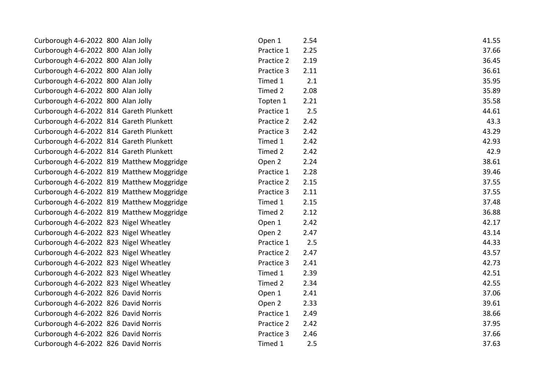| Curborough 4-6-2022 800 Alan Jolly        | Open 1     | 2.54 | 41.55 |
|-------------------------------------------|------------|------|-------|
| Curborough 4-6-2022 800 Alan Jolly        | Practice 1 | 2.25 | 37.66 |
| Curborough 4-6-2022 800 Alan Jolly        | Practice 2 | 2.19 | 36.45 |
| Curborough 4-6-2022 800 Alan Jolly        | Practice 3 | 2.11 | 36.61 |
| Curborough 4-6-2022 800 Alan Jolly        | Timed 1    | 2.1  | 35.95 |
| Curborough 4-6-2022 800 Alan Jolly        | Timed 2    | 2.08 | 35.89 |
| Curborough 4-6-2022 800 Alan Jolly        | Topten 1   | 2.21 | 35.58 |
| Curborough 4-6-2022 814 Gareth Plunkett   | Practice 1 | 2.5  | 44.61 |
| Curborough 4-6-2022 814 Gareth Plunkett   | Practice 2 | 2.42 | 43.3  |
| Curborough 4-6-2022 814 Gareth Plunkett   | Practice 3 | 2.42 | 43.29 |
| Curborough 4-6-2022 814 Gareth Plunkett   | Timed 1    | 2.42 | 42.93 |
| Curborough 4-6-2022 814 Gareth Plunkett   | Timed 2    | 2.42 | 42.9  |
| Curborough 4-6-2022 819 Matthew Moggridge | Open 2     | 2.24 | 38.61 |
| Curborough 4-6-2022 819 Matthew Moggridge | Practice 1 | 2.28 | 39.46 |
| Curborough 4-6-2022 819 Matthew Moggridge | Practice 2 | 2.15 | 37.55 |
| Curborough 4-6-2022 819 Matthew Moggridge | Practice 3 | 2.11 | 37.55 |
| Curborough 4-6-2022 819 Matthew Moggridge | Timed 1    | 2.15 | 37.48 |
| Curborough 4-6-2022 819 Matthew Moggridge | Timed 2    | 2.12 | 36.88 |
| Curborough 4-6-2022 823 Nigel Wheatley    | Open 1     | 2.42 | 42.17 |
| Curborough 4-6-2022 823 Nigel Wheatley    | Open 2     | 2.47 | 43.14 |
| Curborough 4-6-2022 823 Nigel Wheatley    | Practice 1 | 2.5  | 44.33 |
| Curborough 4-6-2022 823 Nigel Wheatley    | Practice 2 | 2.47 | 43.57 |
| Curborough 4-6-2022 823 Nigel Wheatley    | Practice 3 | 2.41 | 42.73 |
| Curborough 4-6-2022 823 Nigel Wheatley    | Timed 1    | 2.39 | 42.51 |
| Curborough 4-6-2022 823 Nigel Wheatley    | Timed 2    | 2.34 | 42.55 |
| Curborough 4-6-2022 826 David Norris      | Open 1     | 2.41 | 37.06 |
| Curborough 4-6-2022 826 David Norris      | Open 2     | 2.33 | 39.61 |
| Curborough 4-6-2022 826 David Norris      | Practice 1 | 2.49 | 38.66 |
| Curborough 4-6-2022 826 David Norris      | Practice 2 | 2.42 | 37.95 |
| Curborough 4-6-2022 826 David Norris      | Practice 3 | 2.46 | 37.66 |
| Curborough 4-6-2022 826 David Norris      | Timed 1    | 2.5  | 37.63 |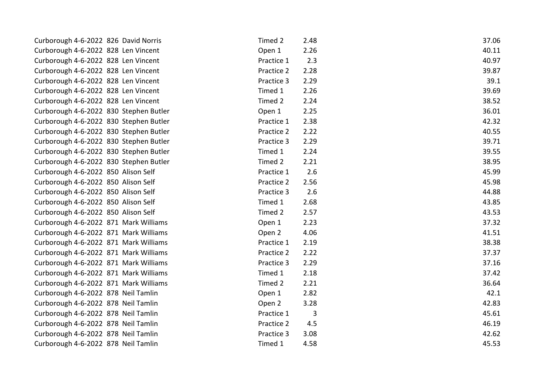| Curborough 4-6-2022 826 David Norris   | Timed 2    | 2.48 | 37.06 |
|----------------------------------------|------------|------|-------|
| Curborough 4-6-2022 828 Len Vincent    | Open 1     | 2.26 | 40.11 |
| Curborough 4-6-2022 828 Len Vincent    | Practice 1 | 2.3  | 40.97 |
| Curborough 4-6-2022 828 Len Vincent    | Practice 2 | 2.28 | 39.87 |
| Curborough 4-6-2022 828 Len Vincent    | Practice 3 | 2.29 | 39.1  |
| Curborough 4-6-2022 828 Len Vincent    | Timed 1    | 2.26 | 39.69 |
| Curborough 4-6-2022 828 Len Vincent    | Timed 2    | 2.24 | 38.52 |
| Curborough 4-6-2022 830 Stephen Butler | Open 1     | 2.25 | 36.01 |
| Curborough 4-6-2022 830 Stephen Butler | Practice 1 | 2.38 | 42.32 |
| Curborough 4-6-2022 830 Stephen Butler | Practice 2 | 2.22 | 40.55 |
| Curborough 4-6-2022 830 Stephen Butler | Practice 3 | 2.29 | 39.71 |
| Curborough 4-6-2022 830 Stephen Butler | Timed 1    | 2.24 | 39.55 |
| Curborough 4-6-2022 830 Stephen Butler | Timed 2    | 2.21 | 38.95 |
| Curborough 4-6-2022 850 Alison Self    | Practice 1 | 2.6  | 45.99 |
| Curborough 4-6-2022 850 Alison Self    | Practice 2 | 2.56 | 45.98 |
| Curborough 4-6-2022 850 Alison Self    | Practice 3 | 2.6  | 44.88 |
| Curborough 4-6-2022 850 Alison Self    | Timed 1    | 2.68 | 43.85 |
| Curborough 4-6-2022 850 Alison Self    | Timed 2    | 2.57 | 43.53 |
| Curborough 4-6-2022 871 Mark Williams  | Open 1     | 2.23 | 37.32 |
| Curborough 4-6-2022 871 Mark Williams  | Open 2     | 4.06 | 41.51 |
| Curborough 4-6-2022 871 Mark Williams  | Practice 1 | 2.19 | 38.38 |
| Curborough 4-6-2022 871 Mark Williams  | Practice 2 | 2.22 | 37.37 |
| Curborough 4-6-2022 871 Mark Williams  | Practice 3 | 2.29 | 37.16 |
| Curborough 4-6-2022 871 Mark Williams  | Timed 1    | 2.18 | 37.42 |
| Curborough 4-6-2022 871 Mark Williams  | Timed 2    | 2.21 | 36.64 |
| Curborough 4-6-2022 878 Neil Tamlin    | Open 1     | 2.82 | 42.1  |
| Curborough 4-6-2022 878 Neil Tamlin    | Open 2     | 3.28 | 42.83 |
| Curborough 4-6-2022 878 Neil Tamlin    | Practice 1 | 3    | 45.61 |
| Curborough 4-6-2022 878 Neil Tamlin    | Practice 2 | 4.5  | 46.19 |
| Curborough 4-6-2022 878 Neil Tamlin    | Practice 3 | 3.08 | 42.62 |
| Curborough 4-6-2022 878 Neil Tamlin    | Timed 1    | 4.58 | 45.53 |